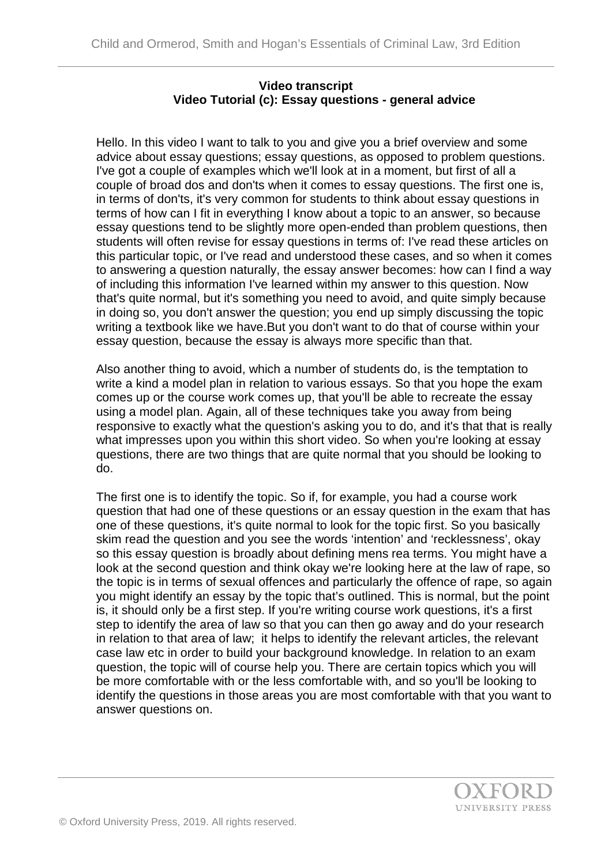## **Video transcript Video Tutorial (c): Essay questions - general advice**

Hello. In this video I want to talk to you and give you a brief overview and some advice about essay questions; essay questions, as opposed to problem questions. I've got a couple of examples which we'll look at in a moment, but first of all a couple of broad dos and don'ts when it comes to essay questions. The first one is, in terms of don'ts, it's very common for students to think about essay questions in terms of how can I fit in everything I know about a topic to an answer, so because essay questions tend to be slightly more open-ended than problem questions, then students will often revise for essay questions in terms of: I've read these articles on this particular topic, or I've read and understood these cases, and so when it comes to answering a question naturally, the essay answer becomes: how can I find a way of including this information I've learned within my answer to this question. Now that's quite normal, but it's something you need to avoid, and quite simply because in doing so, you don't answer the question; you end up simply discussing the topic writing a textbook like we have.But you don't want to do that of course within your essay question, because the essay is always more specific than that.

Also another thing to avoid, which a number of students do, is the temptation to write a kind a model plan in relation to various essays. So that you hope the exam comes up or the course work comes up, that you'll be able to recreate the essay using a model plan. Again, all of these techniques take you away from being responsive to exactly what the question's asking you to do, and it's that that is really what impresses upon you within this short video. So when you're looking at essay questions, there are two things that are quite normal that you should be looking to do.

The first one is to identify the topic. So if, for example, you had a course work question that had one of these questions or an essay question in the exam that has one of these questions, it's quite normal to look for the topic first. So you basically skim read the question and you see the words 'intention' and 'recklessness', okay so this essay question is broadly about defining mens rea terms. You might have a look at the second question and think okay we're looking here at the law of rape, so the topic is in terms of sexual offences and particularly the offence of rape, so again you might identify an essay by the topic that's outlined. This is normal, but the point is, it should only be a first step. If you're writing course work questions, it's a first step to identify the area of law so that you can then go away and do your research in relation to that area of law; it helps to identify the relevant articles, the relevant case law etc in order to build your background knowledge. In relation to an exam question, the topic will of course help you. There are certain topics which you will be more comfortable with or the less comfortable with, and so you'll be looking to identify the questions in those areas you are most comfortable with that you want to answer questions on.

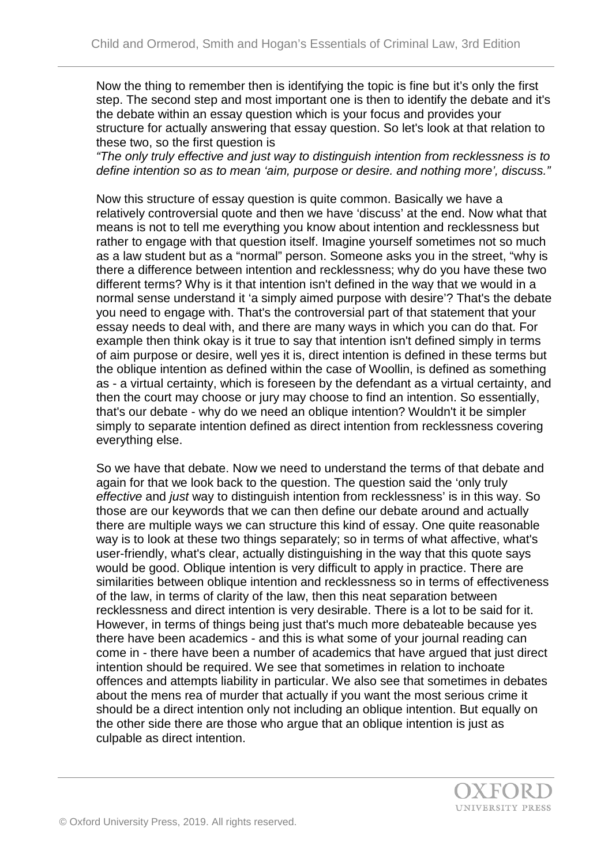Now the thing to remember then is identifying the topic is fine but it's only the first step. The second step and most important one is then to identify the debate and it's the debate within an essay question which is your focus and provides your structure for actually answering that essay question. So let's look at that relation to these two, so the first question is

*"The only truly effective and just way to distinguish intention from recklessness is to define intention so as to mean 'aim, purpose or desire. and nothing more', discuss."*

Now this structure of essay question is quite common. Basically we have a relatively controversial quote and then we have 'discuss' at the end. Now what that means is not to tell me everything you know about intention and recklessness but rather to engage with that question itself. Imagine yourself sometimes not so much as a law student but as a "normal" person. Someone asks you in the street, "why is there a difference between intention and recklessness; why do you have these two different terms? Why is it that intention isn't defined in the way that we would in a normal sense understand it 'a simply aimed purpose with desire'? That's the debate you need to engage with. That's the controversial part of that statement that your essay needs to deal with, and there are many ways in which you can do that. For example then think okay is it true to say that intention isn't defined simply in terms of aim purpose or desire, well yes it is, direct intention is defined in these terms but the oblique intention as defined within the case of Woollin, is defined as something as - a virtual certainty, which is foreseen by the defendant as a virtual certainty, and then the court may choose or jury may choose to find an intention. So essentially, that's our debate - why do we need an oblique intention? Wouldn't it be simpler simply to separate intention defined as direct intention from recklessness covering everything else.

So we have that debate. Now we need to understand the terms of that debate and again for that we look back to the question. The question said the 'only truly *effective* and *just* way to distinguish intention from recklessness' is in this way. So those are our keywords that we can then define our debate around and actually there are multiple ways we can structure this kind of essay. One quite reasonable way is to look at these two things separately; so in terms of what affective, what's user-friendly, what's clear, actually distinguishing in the way that this quote says would be good. Oblique intention is very difficult to apply in practice. There are similarities between oblique intention and recklessness so in terms of effectiveness of the law, in terms of clarity of the law, then this neat separation between recklessness and direct intention is very desirable. There is a lot to be said for it. However, in terms of things being just that's much more debateable because ves there have been academics - and this is what some of your journal reading can come in - there have been a number of academics that have argued that just direct intention should be required. We see that sometimes in relation to inchoate offences and attempts liability in particular. We also see that sometimes in debates about the mens rea of murder that actually if you want the most serious crime it should be a direct intention only not including an oblique intention. But equally on the other side there are those who argue that an oblique intention is just as culpable as direct intention.